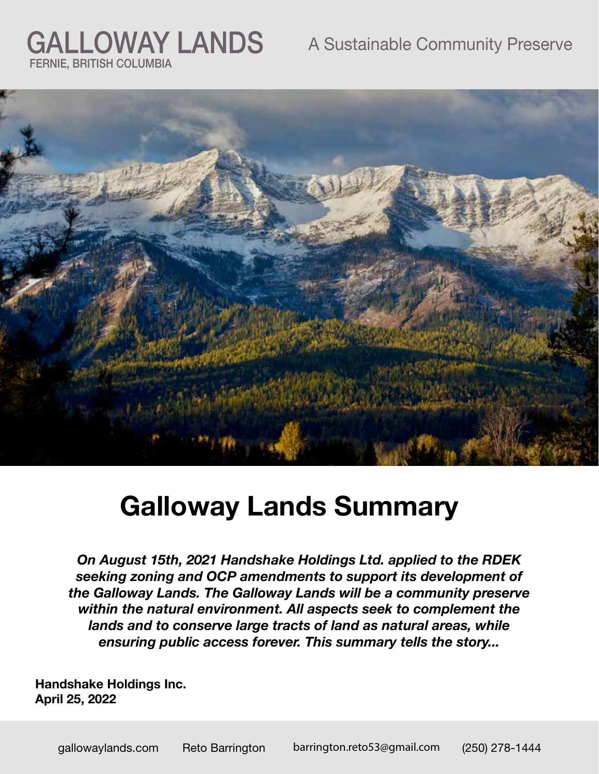### A Sustainable Community Preserve



# **Galloway Lands Summary**

*On August 15th, 2021 Handshake Holdings Ltd. applied to the RDEK seeking zoning and OCP amendments to support its development of the Galloway Lands. The Galloway Lands will be a community preserve within the natural environment. All aspects seek to complement the lands and to conserve large tracts of land as natural areas, while ensuring public access forever. This summary tells the story...*

**Handshake Holdings Inc. April 25, 2022**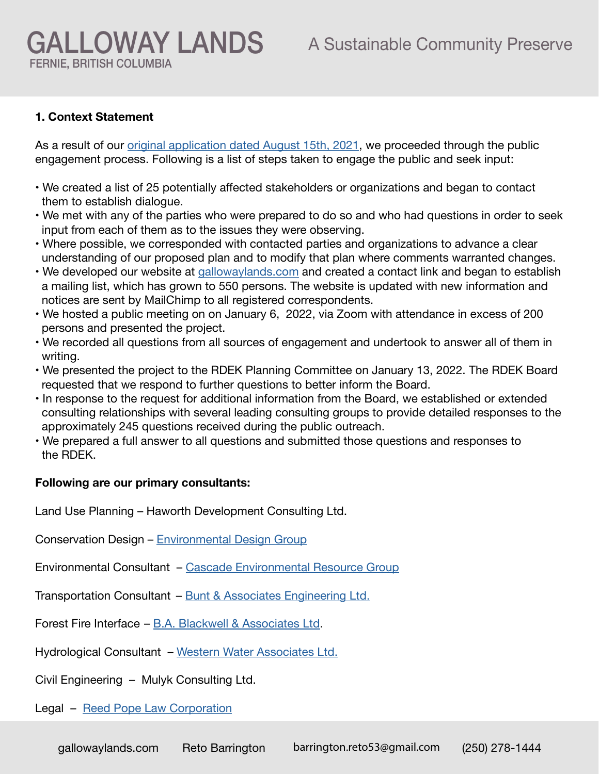### GALLOWAY LANDS A Sustainable Community Preserve FERNIE, BRITISH COLUMBIA

### **1. Context Statement**

As a result of our [original application dated August 15th, 2021](https://gallowaylands.com/wp-content/uploads/2022/04/Galloway-Lands-RDEK-Application.pdf), we proceeded through the public engagement process. Following is a list of steps taken to engage the public and seek input:

- We created a list of 25 potentially affected stakeholders or organizations and began to contact them to establish dialogue.
- We met with any of the parties who were prepared to do so and who had questions in order to seek input from each of them as to the issues they were observing.
- Where possible, we corresponded with contacted parties and organizations to advance a clear understanding of our proposed plan and to modify that plan where comments warranted changes.
- We developed our website at [gallowaylands.com](http://gallowaylands.com) and created a contact link and began to establish a mailing list, which has grown to 550 persons. The website is updated with new information and notices are sent by MailChimp to all registered correspondents.
- We hosted a public meeting on on January 6, 2022, via Zoom with attendance in excess of 200 persons and presented the project.
- We recorded all questions from all sources of engagement and undertook to answer all of them in writing.
- We presented the project to the RDEK Planning Committee on January 13, 2022. The RDEK Board requested that we respond to further questions to better inform the Board.
- In response to the request for additional information from the Board, we established or extended consulting relationships with several leading consulting groups to provide detailed responses to the approximately 245 questions received during the public outreach.
- We prepared a full answer to all questions and submitted those questions and responses to the RDEK.

#### **Following are our primary consultants:**

Land Use Planning – Haworth Development Consulting Ltd.

Conservation Design – Environmental Design Group

Environmental Consultant – [Cascade Environmental Resource Group](https://www.cerg.ca/)

- Transportation Consultant – [Bunt & Associates Engineering Ltd.](https://www.bunteng.com/
)
- Forest Fire Interface [B.A. Blackwell & Associates Ltd](https://www.bablackwell.com/).

Hydrological Consultant – [Western Water Associates Ltd.](http://www.westernwater.ca/)

Civil Engineering – Mulyk Consulting Ltd.

#### Legal – [Reed Pope Law Corporation](https://www.reedpope.ca/)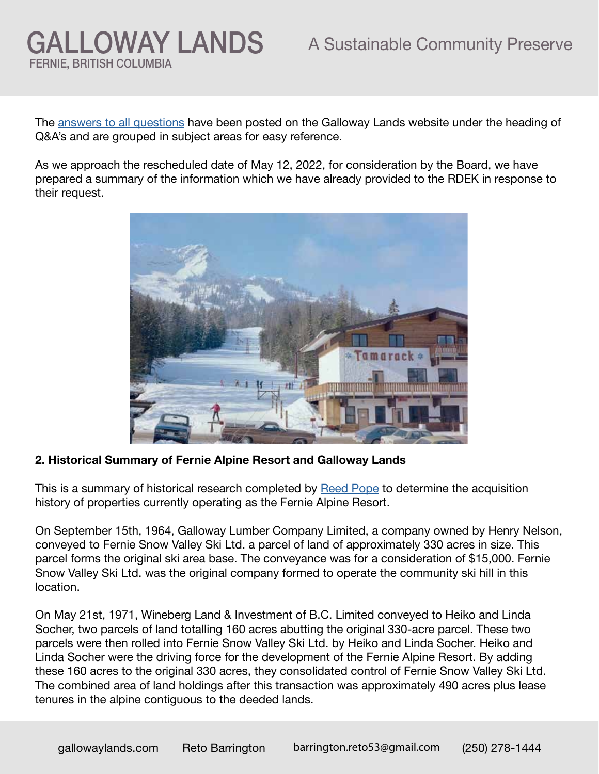The [answers to all questions](https://gallowaylands.com/#QA) have been posted on the Galloway Lands website under the heading of Q&A's and are grouped in subject areas for easy reference.

As we approach the rescheduled date of May 12, 2022, for consideration by the Board, we have prepared a summary of the information which we have already provided to the RDEK in response to their request.



**2. Historical Summary of Fernie Alpine Resort and Galloway Lands**

This is a summary of historical research completed by Reed Pope to determine the acquisition history of properties currently operating as the Fernie Alpine Resort.

On September 15th, 1964, Galloway Lumber Company Limited, a company owned by Henry Nelson, conveyed to Fernie Snow Valley Ski Ltd. a parcel of land of approximately 330 acres in size. This parcel forms the original ski area base. The conveyance was for a consideration of \$15,000. Fernie Snow Valley Ski Ltd. was the original company formed to operate the community ski hill in this location.

On May 21st, 1971, Wineberg Land & Investment of B.C. Limited conveyed to Heiko and Linda Socher, two parcels of land totalling 160 acres abutting the original 330-acre parcel. These two parcels were then rolled into Fernie Snow Valley Ski Ltd. by Heiko and Linda Socher. Heiko and Linda Socher were the driving force for the development of the Fernie Alpine Resort. By adding these 160 acres to the original 330 acres, they consolidated control of Fernie Snow Valley Ski Ltd. The combined area of land holdings after this transaction was approximately 490 acres plus lease tenures in the alpine contiguous to the deeded lands.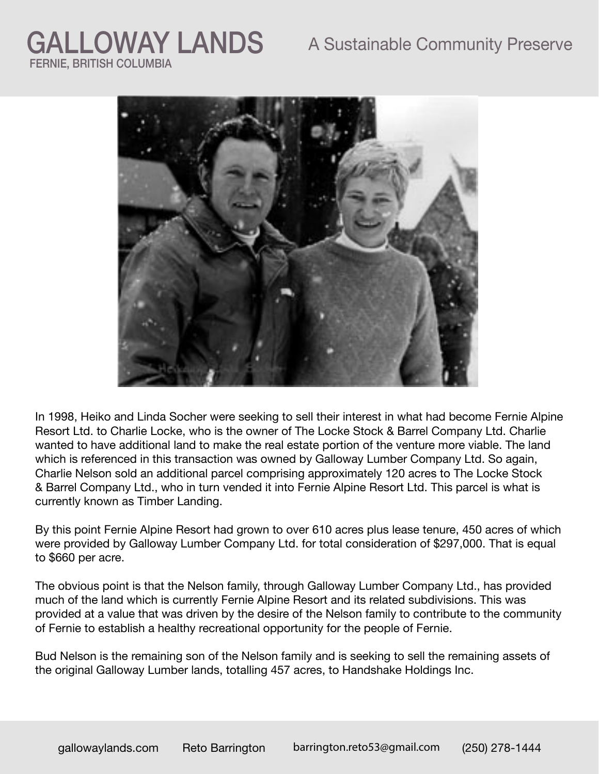### A Sustainable Community Preserve

## GALLOWAY LANDS FERNIE, BRITISH COLUMBIA



In 1998, Heiko and Linda Socher were seeking to sell their interest in what had become Fernie Alpine Resort Ltd. to Charlie Locke, who is the owner of The Locke Stock & Barrel Company Ltd. Charlie wanted to have additional land to make the real estate portion of the venture more viable. The land which is referenced in this transaction was owned by Galloway Lumber Company Ltd. So again, Charlie Nelson sold an additional parcel comprising approximately 120 acres to The Locke Stock & Barrel Company Ltd., who in turn vended it into Fernie Alpine Resort Ltd. This parcel is what is currently known as Timber Landing.

By this point Fernie Alpine Resort had grown to over 610 acres plus lease tenure, 450 acres of which were provided by Galloway Lumber Company Ltd. for total consideration of \$297,000. That is equal to \$660 per acre.

The obvious point is that the Nelson family, through Galloway Lumber Company Ltd., has provided much of the land which is currently Fernie Alpine Resort and its related subdivisions. This was provided at a value that was driven by the desire of the Nelson family to contribute to the community of Fernie to establish a healthy recreational opportunity for the people of Fernie.

Bud Nelson is the remaining son of the Nelson family and is seeking to sell the remaining assets of the original Galloway Lumber lands, totalling 457 acres, to Handshake Holdings Inc.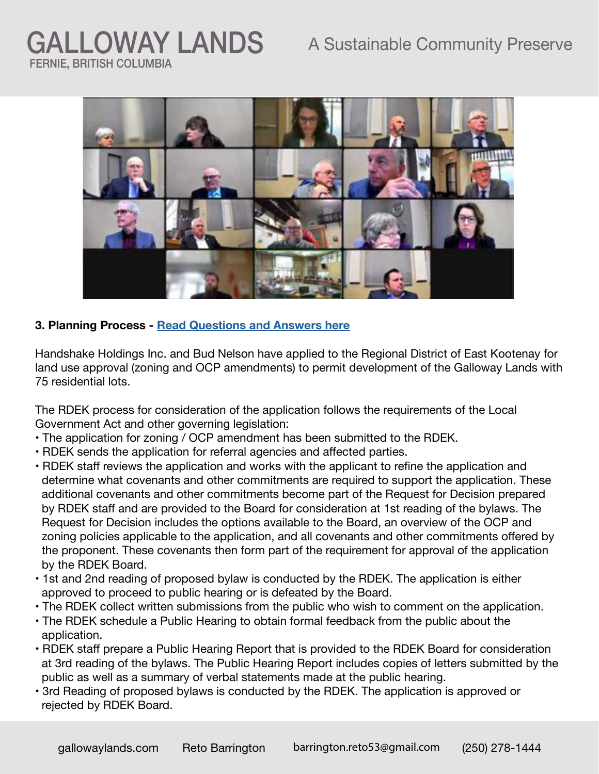

### **3. Planning Process - [Read Questions and Answers here](http://gallowaylands.com)**

Handshake Holdings Inc. and Bud Nelson have applied to the Regional District of East Kootenay for land use approval (zoning and OCP amendments) to permit development of the Galloway Lands with 75 residential lots.

The RDEK process for consideration of the application follows the requirements of the Local Government Act and other governing legislation:

- The application for zoning / OCP amendment has been submitted to the RDEK.
- RDEK sends the application for referral agencies and affected parties.
- RDEK staff reviews the application and works with the applicant to refine the application and determine what covenants and other commitments are required to support the application. These additional covenants and other commitments become part of the Request for Decision prepared by RDEK staff and are provided to the Board for consideration at 1st reading of the bylaws. The Request for Decision includes the options available to the Board, an overview of the OCP and zoning policies applicable to the application, and all covenants and other commitments offered by the proponent. These covenants then form part of the requirement for approval of the application by the RDEK Board.
- 1st and 2nd reading of proposed bylaw is conducted by the RDEK. The application is either approved to proceed to public hearing or is defeated by the Board.
- The RDEK collect written submissions from the public who wish to comment on the application.
- The RDEK schedule a Public Hearing to obtain formal feedback from the public about the application.
- RDEK staff prepare a Public Hearing Report that is provided to the RDEK Board for consideration at 3rd reading of the bylaws. The Public Hearing Report includes copies of letters submitted by the public as well as a summary of verbal statements made at the public hearing.
- 3rd Reading of proposed bylaws is conducted by the RDEK. The application is approved or rejected by RDEK Board.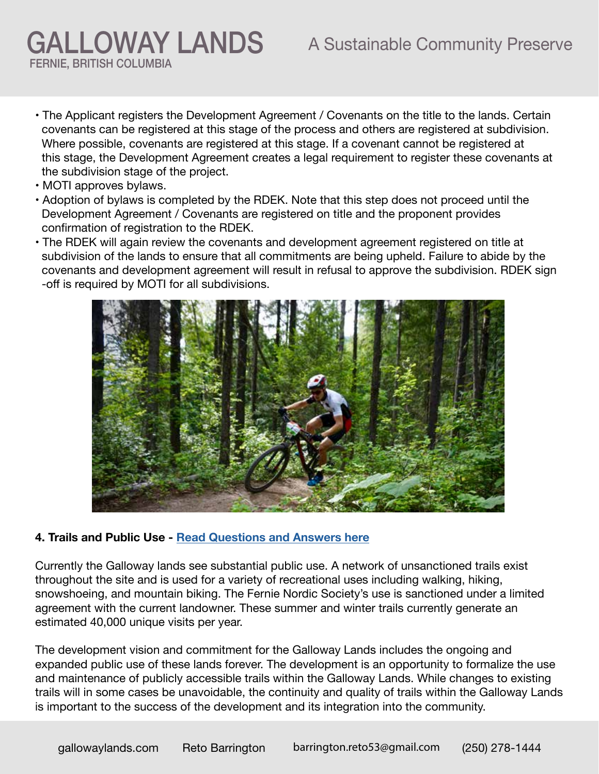- The Applicant registers the Development Agreement / Covenants on the title to the lands. Certain covenants can be registered at this stage of the process and others are registered at subdivision. Where possible, covenants are registered at this stage. If a covenant cannot be registered at this stage, the Development Agreement creates a legal requirement to register these covenants at the subdivision stage of the project.
- MOTI approves bylaws.
- Adoption of bylaws is completed by the RDEK. Note that this step does not proceed until the Development Agreement / Covenants are registered on title and the proponent provides confirmation of registration to the RDEK.
- The RDEK will again review the covenants and development agreement registered on title at subdivision of the lands to ensure that all commitments are being upheld. Failure to abide by the covenants and development agreement will result in refusal to approve the subdivision. RDEK sign -off is required by MOTI for all subdivisions.



#### **4. Trails and Public Use - [Read Questions and Answers here](https://gallowaylands.com/trails-and-public-access-answers/)**

Currently the Galloway lands see substantial public use. A network of unsanctioned trails exist throughout the site and is used for a variety of recreational uses including walking, hiking, snowshoeing, and mountain biking. The Fernie Nordic Society's use is sanctioned under a limited agreement with the current landowner. These summer and winter trails currently generate an estimated 40,000 unique visits per year.

The development vision and commitment for the Galloway Lands includes the ongoing and expanded public use of these lands forever. The development is an opportunity to formalize the use and maintenance of publicly accessible trails within the Galloway Lands. While changes to existing trails will in some cases be unavoidable, the continuity and quality of trails within the Galloway Lands is important to the success of the development and its integration into the community.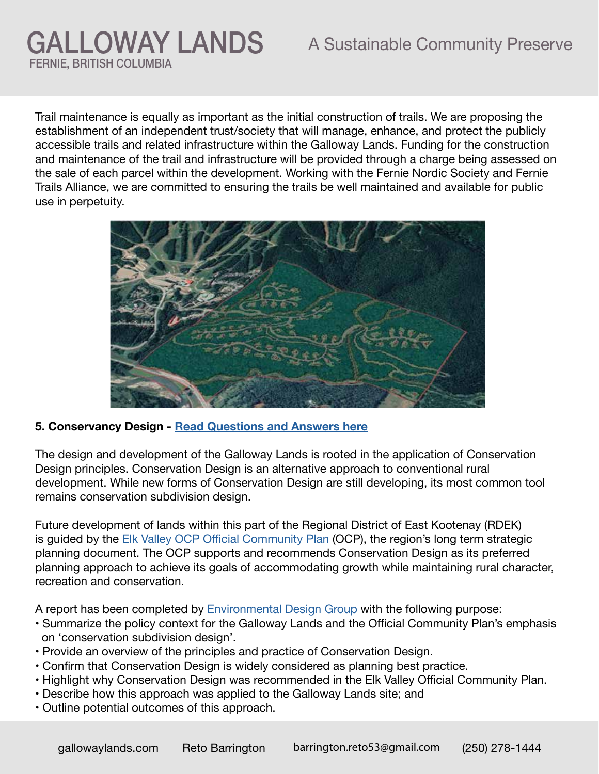Trail maintenance is equally as important as the initial construction of trails. We are proposing the establishment of an independent trust/society that will manage, enhance, and protect the publicly accessible trails and related infrastructure within the Galloway Lands. Funding for the construction and maintenance of the trail and infrastructure will be provided through a charge being assessed on the sale of each parcel within the development. Working with the Fernie Nordic Society and Fernie Trails Alliance, we are committed to ensuring the trails be well maintained and available for public use in perpetuity.



### **5. Conservancy Design - [Read Questions and Answers here](https://gallowaylands.com/development-covenants/)**

The design and development of the Galloway Lands is rooted in the application of Conservation Design principles. Conservation Design is an alternative approach to conventional rural development. While new forms of Conservation Design are still developing, its most common tool remains conservation subdivision design.

Future development of lands within this part of the Regional District of East Kootenay (RDEK) is guided by the [Elk Valley OCP Official Community Plan](https://www.rdek.bc.ca/bylaws/ocp_zoning_landuse/ocp/elk_valley_official_community_plan_bylaw_no_2532_2014/) (OCP), the region's long term strategic planning document. The OCP supports and recommends Conservation Design as its preferred planning approach to achieve its goals of accommodating growth while maintaining rural character, recreation and conservation.

A report has been completed by [Environmental Design Group](https://www.environmentaldesign.ca/
) with the following purpose:

- Summarize the policy context for the Galloway Lands and the Official Community Plan's emphasis on 'conservation subdivision design'.
- Provide an overview of the principles and practice of Conservation Design.
- Confirm that Conservation Design is widely considered as planning best practice.
- Highlight why Conservation Design was recommended in the Elk Valley Official Community Plan.
- Describe how this approach was applied to the Galloway Lands site; and
- Outline potential outcomes of this approach.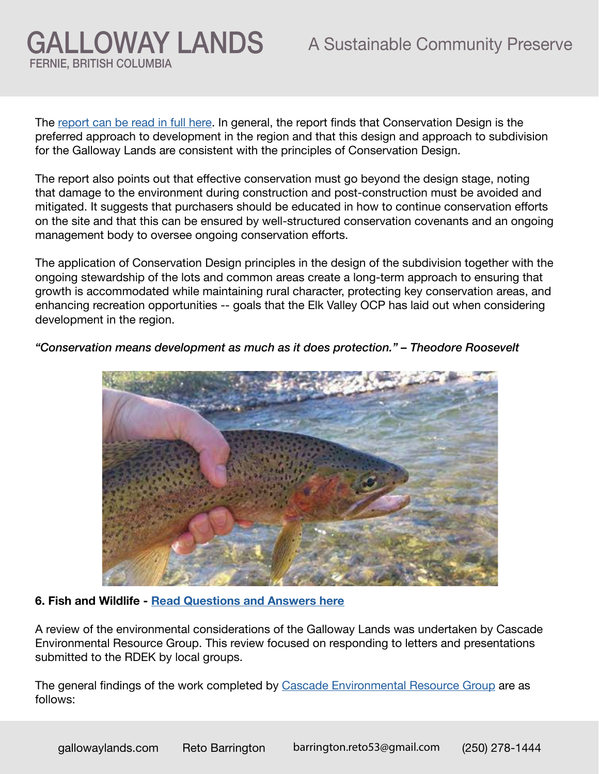The [report can be read in full here](https://gallowaylands.com/wp-content/uploads/2022/04/Leighton-Conservation-Design-Report-March-8th-2022.pdf). In general, the report finds that Conservation Design is the preferred approach to development in the region and that this design and approach to subdivision for the Galloway Lands are consistent with the principles of Conservation Design.

The report also points out that effective conservation must go beyond the design stage, noting that damage to the environment during construction and post-construction must be avoided and mitigated. It suggests that purchasers should be educated in how to continue conservation efforts on the site and that this can be ensured by well-structured conservation covenants and an ongoing management body to oversee ongoing conservation efforts.

The application of Conservation Design principles in the design of the subdivision together with the ongoing stewardship of the lots and common areas create a long-term approach to ensuring that growth is accommodated while maintaining rural character, protecting key conservation areas, and enhancing recreation opportunities -- goals that the Elk Valley OCP has laid out when considering development in the region.



*"Conservation means development as much as it does protection." – Theodore Roosevelt*

### **6. Fish and Wildlife - [Read Questions and Answers here](https://gallowaylands.com/fish-and-wildlife/)**

A review of the environmental considerations of the Galloway Lands was undertaken by Cascade Environmental Resource Group. This review focused on responding to letters and presentations submitted to the RDEK by local groups.

The general findings of the work completed by [Cascade Environmental Resource Group](https://www.cerg.ca/) are as follows: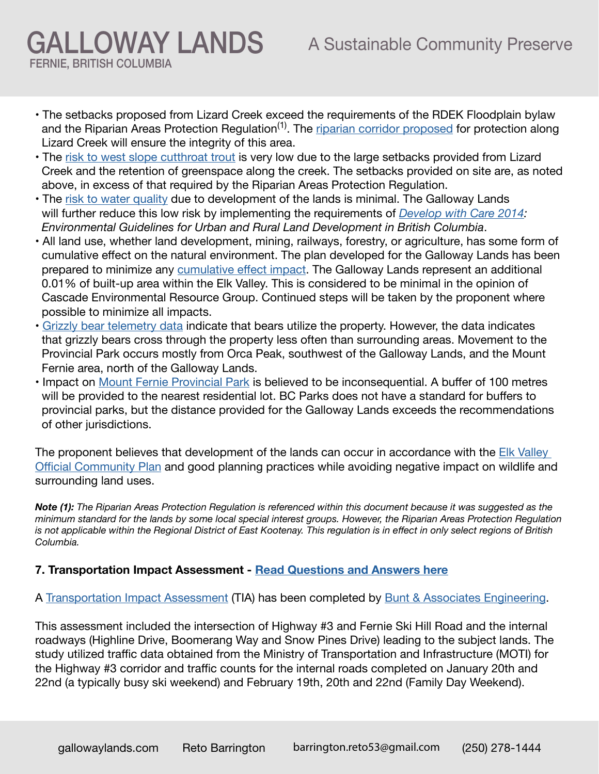• The setbacks proposed from Lizard Creek exceed the requirements of the RDEK Floodplain bylaw and the Riparian Areas Protection Regulation<sup>(1)</sup>. The [riparian corridor proposed](https://gallowaylands.com/wp-content/uploads/2022/04/220425_-Review-of-Frank-and-Swanson-questions-and-comments.pdf) for protection along Lizard Creek will ensure the integrity of this area.

- The [risk to west slope cutthroat trout](https://gallowaylands.com/wp-content/uploads/2022/04/220425_Review-of-Elk-River-Alliance-questions-and-comments.pdf) is very low due to the large setbacks provided from Lizard Creek and the retention of greenspace along the creek. The setbacks provided on site are, as noted above, in excess of that required by the Riparian Areas Protection Regulation.
- The [risk to water quality](https://gallowaylands.com/wp-content/uploads/2022/04/220425_Review-of-Elk-River-Alliance-questions-and-comments.pdf) due to development of the lands is minimal. The Galloway Lands will further reduce this low risk by implementing the requirements of *[Develop with Care 2014:](https://www2.gov.bc.ca/gov/content/environment/natural-resource-stewardship/laws-policies-standards-guidance/best-management-practices/develop-with-care) Environmental Guidelines for Urban and Rural Land Development in British Columbia*.
- All land use, whether land development, mining, railways, forestry, or agriculture, has some form of cumulative effect on the natural environment. The plan developed for the Galloway Lands has been prepared to minimize any [cumulative effect impact.](https://gallowaylands.com/wp-content/uploads/2022/04/220425_Cumulative-effect-memo.pdf) The Galloway Lands represent an additional 0.01% of built-up area within the Elk Valley. This is considered to be minimal in the opinion of Cascade Environmental Resource Group. Continued steps will be taken by the proponent where possible to minimize all impacts.
- [Grizzly bear telemetry data](https://gallowaylands.com/wp-content/uploads/2022/04/Cascade-Comments-on-Review-By-Clayton-Lamb-March-25-2022.pdf) indicate that bears utilize the property. However, the data indicates that grizzly bears cross through the property less often than surrounding areas. Movement to the Provincial Park occurs mostly from Orca Peak, southwest of the Galloway Lands, and the Mount Fernie area, north of the Galloway Lands.
- Impact on [Mount Fernie Provincial Park](https://gallowaylands.com/wp-content/uploads/2022/04/Cascade-BC-Parks-Comment-Response-March-23-2022.pdf) is believed to be inconsequential. A buffer of 100 metres will be provided to the nearest residential lot. BC Parks does not have a standard for buffers to provincial parks, but the distance provided for the Galloway Lands exceeds the recommendations of other jurisdictions.

The proponent believes that development of the lands can occur in accordance with the Elk Valley [Official Community Plan](https://www.rdek.bc.ca/bylaws/ocp_zoning_landuse/ocp/elk_valley_official_community_plan_bylaw_no_2532_2014/) and good planning practices while avoiding negative impact on wildlife and surrounding land uses.

*Note (1): The Riparian Areas Protection Regulation is referenced within this document because it was suggested as the minimum standard for the lands by some local special interest groups. However, the Riparian Areas Protection Regulation is not applicable within the Regional District of East Kootenay. This regulation is in effect in only select regions of British Columbia.* 

### **7. Transportation Impact Assessment - [Read Questions and Answers here](https://gallowaylands.com/traffic-and-access/)**

A [Transportation Impact Assessment](https://gallowaylands.com/wp-content/uploads/2022/04/Bunt-Galloway-Lands-Winter-TIA.pdf) (TIA) has been completed by [Bunt & Associates Engineering](https://www.bunteng.com/).

This assessment included the intersection of Highway #3 and Fernie Ski Hill Road and the internal roadways (Highline Drive, Boomerang Way and Snow Pines Drive) leading to the subject lands. The study utilized traffic data obtained from the Ministry of Transportation and Infrastructure (MOTI) for the Highway #3 corridor and traffic counts for the internal roads completed on January 20th and 22nd (a typically busy ski weekend) and February 19th, 20th and 22nd (Family Day Weekend).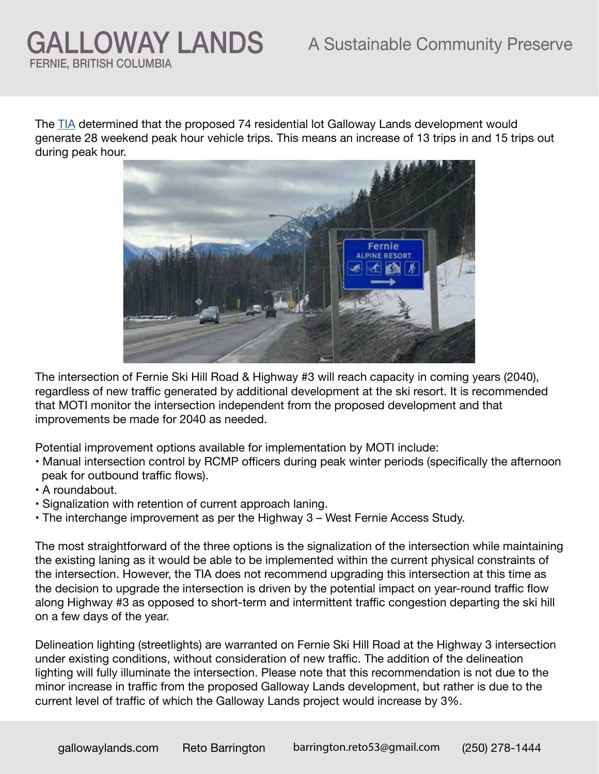The [TIA](https://gallowaylands.com/wp-content/uploads/2022/04/Bunt-Galloway-Lands-Winter-TIA.pdf) determined that the proposed 74 residential lot Galloway Lands development would generate 28 weekend peak hour vehicle trips. This means an increase of 13 trips in and 15 trips out during peak hour.



The intersection of Fernie Ski Hill Road & Highway #3 will reach capacity in coming years (2040), regardless of new traffic generated by additional development at the ski resort. It is recommended that MOTI monitor the intersection independent from the proposed development and that improvements be made for 2040 as needed.

Potential improvement options available for implementation by MOTI include:

- Manual intersection control by RCMP officers during peak winter periods (specifically the afternoon peak for outbound traffic flows).
- A roundabout.
- Signalization with retention of current approach laning.
- The interchange improvement as per the Highway 3 West Fernie Access Study.

The most straightforward of the three options is the signalization of the intersection while maintaining the existing laning as it would be able to be implemented within the current physical constraints of the intersection. However, the TIA does not recommend upgrading this intersection at this time as the decision to upgrade the intersection is driven by the potential impact on year-round traffic flow along Highway #3 as opposed to short-term and intermittent traffic congestion departing the ski hill on a few days of the year.

Delineation lighting (streetlights) are warranted on Fernie Ski Hill Road at the Highway 3 intersection under existing conditions, without consideration of new traffic. The addition of the delineation lighting will fully illuminate the intersection. Please note that this recommendation is not due to the minor increase in traffic from the proposed Galloway Lands development, but rather is due to the current level of traffic of which the Galloway Lands project would increase by 3%.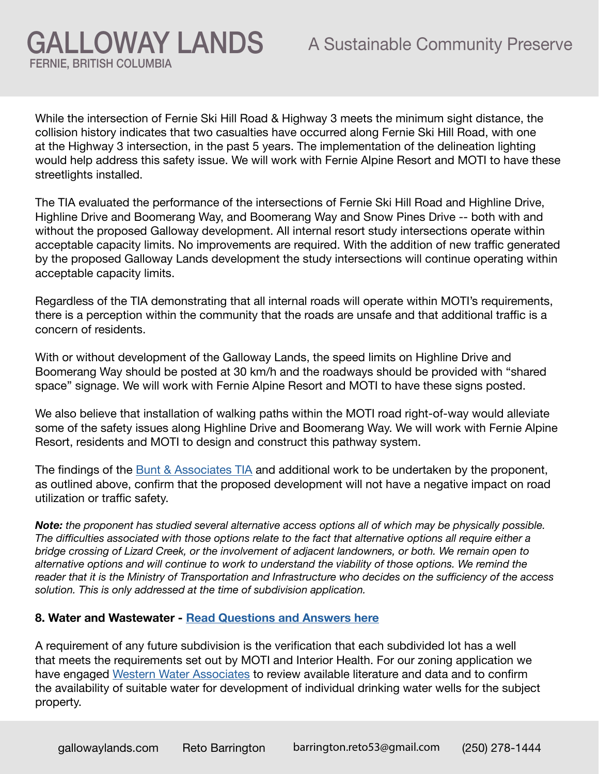While the intersection of Fernie Ski Hill Road & Highway 3 meets the minimum sight distance, the collision history indicates that two casualties have occurred along Fernie Ski Hill Road, with one at the Highway 3 intersection, in the past 5 years. The implementation of the delineation lighting would help address this safety issue. We will work with Fernie Alpine Resort and MOTI to have these streetlights installed.

GALLOWAY LANDS

FERNIE, BRITISH COLUMBIA

The TIA evaluated the performance of the intersections of Fernie Ski Hill Road and Highline Drive, Highline Drive and Boomerang Way, and Boomerang Way and Snow Pines Drive -- both with and without the proposed Galloway development. All internal resort study intersections operate within acceptable capacity limits. No improvements are required. With the addition of new traffic generated by the proposed Galloway Lands development the study intersections will continue operating within acceptable capacity limits.

Regardless of the TIA demonstrating that all internal roads will operate within MOTI's requirements, there is a perception within the community that the roads are unsafe and that additional traffic is a concern of residents.

With or without development of the Galloway Lands, the speed limits on Highline Drive and Boomerang Way should be posted at 30 km/h and the roadways should be provided with "shared space" signage. We will work with Fernie Alpine Resort and MOTI to have these signs posted.

We also believe that installation of walking paths within the MOTI road right-of-way would alleviate some of the safety issues along Highline Drive and Boomerang Way. We will work with Fernie Alpine Resort, residents and MOTI to design and construct this pathway system.

The findings of the [Bunt & Associates TIA](https://gallowaylands.com/wp-content/uploads/2022/04/Bunt-Galloway-Lands-Winter-TIA.pdf) and additional work to be undertaken by the proponent, as outlined above, confirm that the proposed development will not have a negative impact on road utilization or traffic safety.

*Note: the proponent has studied several alternative access options all of which may be physically possible. The difficulties associated with those options relate to the fact that alternative options all require either a bridge crossing of Lizard Creek, or the involvement of adjacent landowners, or both. We remain open to alternative options and will continue to work to understand the viability of those options. We remind the reader that it is the Ministry of Transportation and Infrastructure who decides on the sufficiency of the access solution. This is only addressed at the time of subdivision application.*

#### **8. Water and Wastewater - [Read Questions and Answers here](https://gallowaylands.com/water-and-wastewater/)**

A requirement of any future subdivision is the verification that each subdivided lot has a well that meets the requirements set out by MOTI and Interior Health. For our zoning application we have engaged [Western Water Associates](http://www.westernwater.ca/) to review available literature and data and to confirm the availability of suitable water for development of individual drinking water wells for the subject property.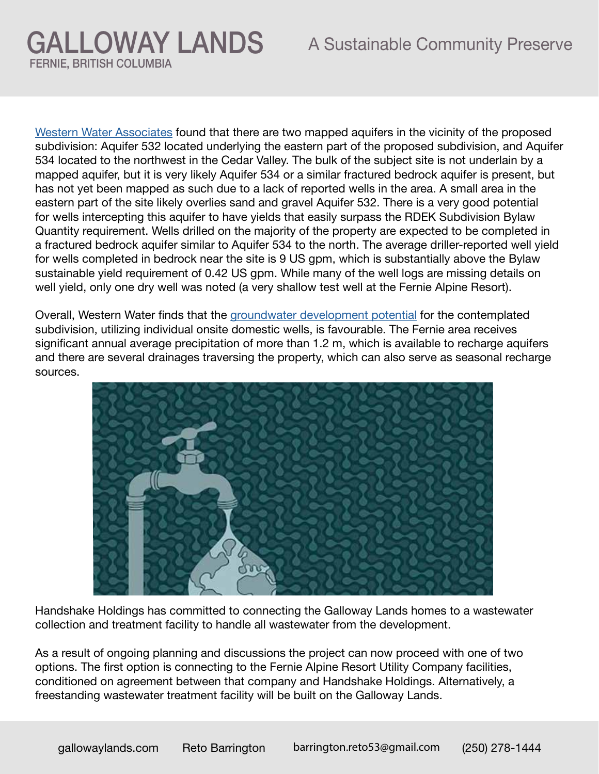[Western Water Associates](https://gallowaylands.com/wp-content/uploads/2022/04/WWAL-Water-Feasibility-Galloway-Lands-May-27-2021-.pdf) found that there are two mapped aquifers in the vicinity of the proposed subdivision: Aquifer 532 located underlying the eastern part of the proposed subdivision, and Aquifer 534 located to the northwest in the Cedar Valley. The bulk of the subject site is not underlain by a mapped aquifer, but it is very likely Aquifer 534 or a similar fractured bedrock aquifer is present, but has not yet been mapped as such due to a lack of reported wells in the area. A small area in the eastern part of the site likely overlies sand and gravel Aquifer 532. There is a very good potential for wells intercepting this aquifer to have yields that easily surpass the RDEK Subdivision Bylaw Quantity requirement. Wells drilled on the majority of the property are expected to be completed in a fractured bedrock aquifer similar to Aquifer 534 to the north. The average driller-reported well yield for wells completed in bedrock near the site is 9 US gpm, which is substantially above the Bylaw sustainable yield requirement of 0.42 US gpm. While many of the well logs are missing details on well yield, only one dry well was noted (a very shallow test well at the Fernie Alpine Resort).

Overall, Western Water finds that the [groundwater development potential](https://gallowaylands.com/wp-content/uploads/2022/04/WWAL-Water-Feasibility-Galloway-Lands-May-27-2021-.pdf) for the contemplated subdivision, utilizing individual onsite domestic wells, is favourable. The Fernie area receives significant annual average precipitation of more than 1.2 m, which is available to recharge aquifers and there are several drainages traversing the property, which can also serve as seasonal recharge sources.



Handshake Holdings has committed to connecting the Galloway Lands homes to a wastewater collection and treatment facility to handle all wastewater from the development.

As a result of ongoing planning and discussions the project can now proceed with one of two options. The first option is connecting to the Fernie Alpine Resort Utility Company facilities, conditioned on agreement between that company and Handshake Holdings. Alternatively, a freestanding wastewater treatment facility will be built on the Galloway Lands.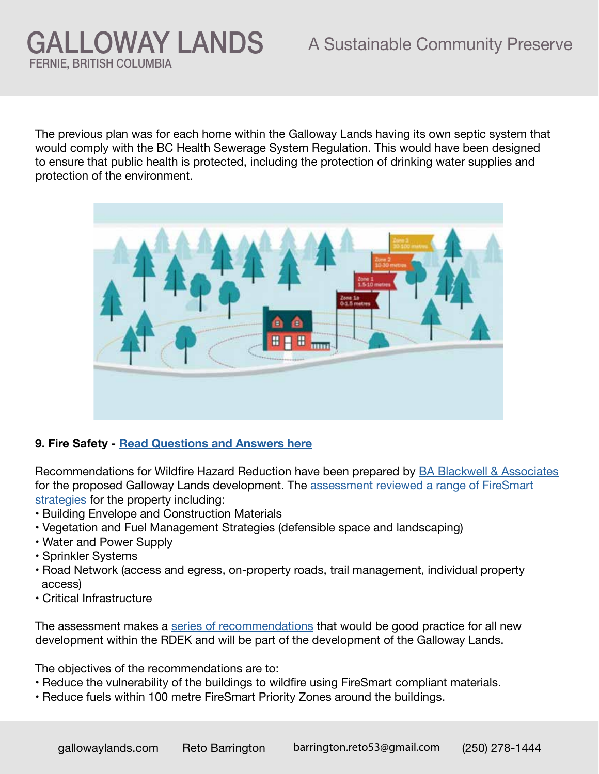### A Sustainable Community Preserve

The previous plan was for each home within the Galloway Lands having its own septic system that would comply with the BC Health Sewerage System Regulation. This would have been designed to ensure that public health is protected, including the protection of drinking water supplies and protection of the environment.



#### **9. Fire Safety - [Read Questions and Answers here](https://gallowaylands.com/fire-safety/)**

GALLOWAY LANDS

FERNIE, BRITISH COLUMBIA

Recommendations for Wildfire Hazard Reduction have been prepared by **BA Blackwell & Associates** for the proposed Galloway Lands development. The [assessment reviewed a range of FireSmart](https://gallowaylands.com/wp-content/uploads/2022/04/Blackwell-Galloway-Lands-Summary-of-Documents-February-15-2022-1.pdf)  [strategies](https://gallowaylands.com/wp-content/uploads/2022/04/Blackwell-Galloway-Lands-Summary-of-Documents-February-15-2022-1.pdf) for the property including:

- Building Envelope and Construction Materials
- Vegetation and Fuel Management Strategies (defensible space and landscaping)
- Water and Power Supply
- Sprinkler Systems
- Road Network (access and egress, on-property roads, trail management, individual property access)
- Critical Infrastructure

The assessment makes a [series of recommendations](https://gallowaylands.com/wp-content/uploads/2022/04/Blackwell-Galloway-Lands-Wildfire-Hazard-Recommendation-February-28-2022.pdf) that would be good practice for all new development within the RDEK and will be part of the development of the Galloway Lands.

The objectives of the recommendations are to:

- Reduce the vulnerability of the buildings to wildfire using FireSmart compliant materials.
- Reduce fuels within 100 metre FireSmart Priority Zones around the buildings.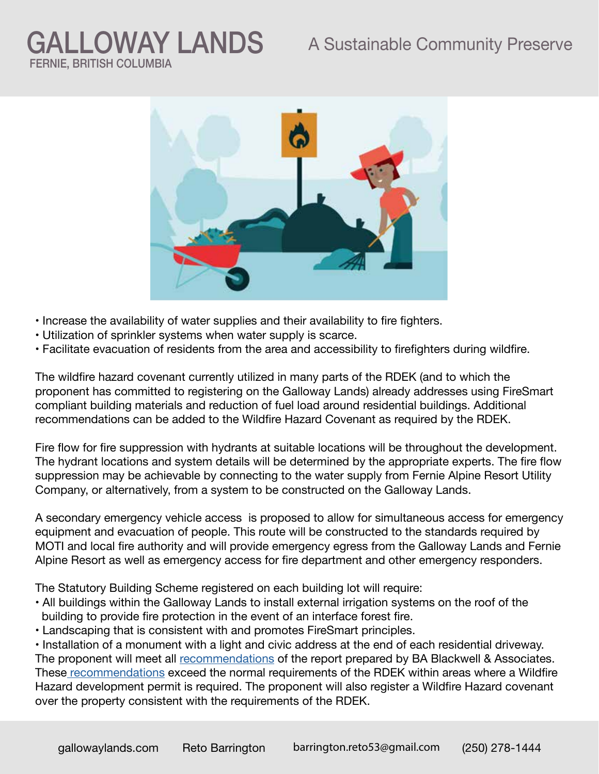### A Sustainable Community Preserve

# GALLOWAY LANDS FERNIE, BRITISH COLUMBIA



- Increase the availability of water supplies and their availability to fire fighters.
- Utilization of sprinkler systems when water supply is scarce.
- Facilitate evacuation of residents from the area and accessibility to firefighters during wildfire.

The wildfire hazard covenant currently utilized in many parts of the RDEK (and to which the proponent has committed to registering on the Galloway Lands) already addresses using FireSmart compliant building materials and reduction of fuel load around residential buildings. Additional recommendations can be added to the Wildfire Hazard Covenant as required by the RDEK.

Fire flow for fire suppression with hydrants at suitable locations will be throughout the development. The hydrant locations and system details will be determined by the appropriate experts. The fire flow suppression may be achievable by connecting to the water supply from Fernie Alpine Resort Utility Company, or alternatively, from a system to be constructed on the Galloway Lands.

A secondary emergency vehicle access is proposed to allow for simultaneous access for emergency equipment and evacuation of people. This route will be constructed to the standards required by MOTI and local fire authority and will provide emergency egress from the Galloway Lands and Fernie Alpine Resort as well as emergency access for fire department and other emergency responders.

The Statutory Building Scheme registered on each building lot will require:

- All buildings within the Galloway Lands to install external irrigation systems on the roof of the building to provide fire protection in the event of an interface forest fire.
- Landscaping that is consistent with and promotes FireSmart principles.

• Installation of a monument with a light and civic address at the end of each residential driveway. The proponent will meet all [recommendations](https://gallowaylands.com/wp-content/uploads/2022/04/Blackwell-Galloway-Lands-Wildfire-Hazard-Recommendation-February-28-2022.pdf) of the report prepared by BA Blackwell & Associates. Thes[e recommendations](https://gallowaylands.com/wp-content/uploads/2022/04/Blackwell-Galloway-Lands-Wildfire-Hazard-Recommendation-February-28-2022.pdf) exceed the normal requirements of the RDEK within areas where a Wildfire Hazard development permit is required. The proponent will also register a Wildfire Hazard covenant over the property consistent with the requirements of the RDEK.